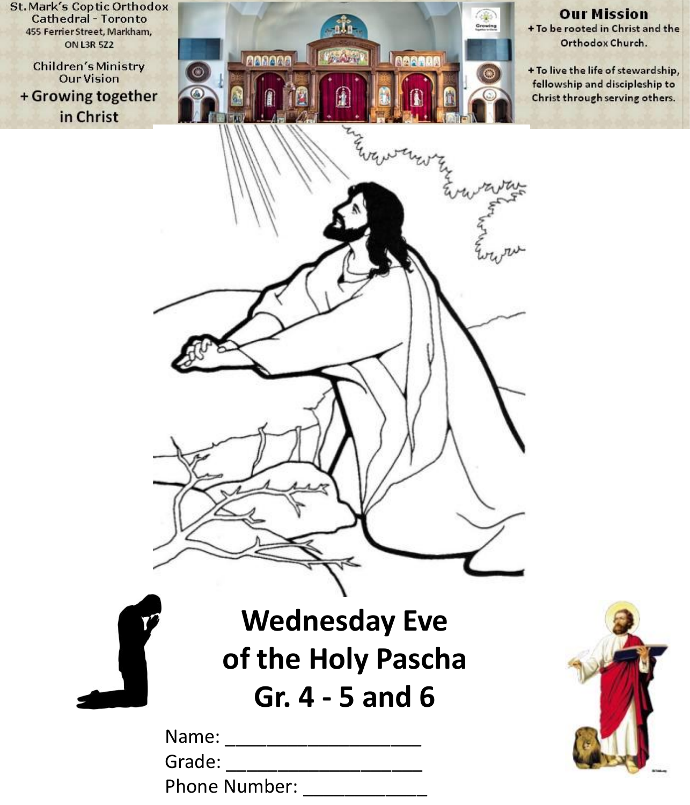**St. Mark's Coptic Orthodox Cathedral - Toronto** 455 Ferrier Street, Markham, **ON L3R 5Z2** 

**Children's Ministry Our Vision** + Growing together in Christ



**Our Mission** + To be rooted in Christ and the Orthodox Church.

+ To live the life of stewardship, fellowship and discipleship to Christ through serving others.

**Wednesday Eve of the Holy Pascha Gr. 4 - 5 and 6**

| Name:                |  |
|----------------------|--|
| Grade:               |  |
| <b>Phone Number:</b> |  |

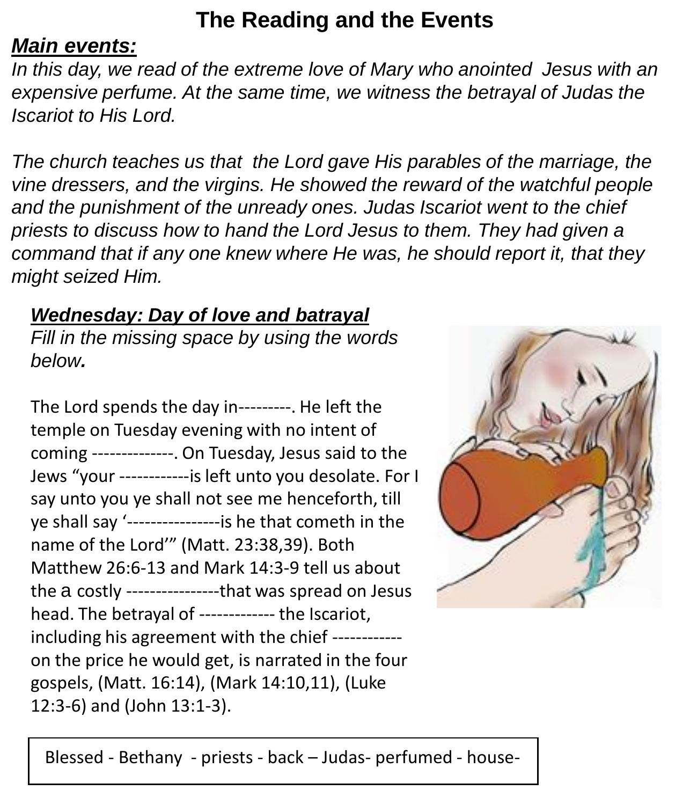#### **The Reading and the Events**

#### *Main events:*

*In this day, we read of the extreme love of Mary who anointed Jesus with an expensive perfume. At the same time, we witness the betrayal of Judas the Iscariot to His Lord.* 

*The church teaches us that the Lord gave His parables of the marriage, the vine dressers, and the virgins. He showed the reward of the watchful people and the punishment of the unready ones. Judas Iscariot went to the chief priests to discuss how to hand the Lord Jesus to them. They had given a command that if any one knew where He was, he should report it, that they might seized Him.*

#### *Wednesday: Day of love and batrayal*

*Fill in the missing space by using the words below.*

The Lord spends the day in---------. He left the temple on Tuesday evening with no intent of coming --------------. On Tuesday, Jesus said to the Jews "your ------------is left unto you desolate. For I say unto you ye shall not see me henceforth, till ye shall say '----------------is he that cometh in the name of the Lord'" (Matt. 23:38,39). Both Matthew 26:6-13 and Mark 14:3-9 tell us about the a costly ----------------that was spread on Jesus head. The betrayal of ------------- the Iscariot, including his agreement with the chief ----------- on the price he would get, is narrated in the four gospels, (Matt. 16:14), (Mark 14:10,11), (Luke 12:3-6) and (John 13:1-3).



Blessed - Bethany - priests - back – Judas- perfumed - house-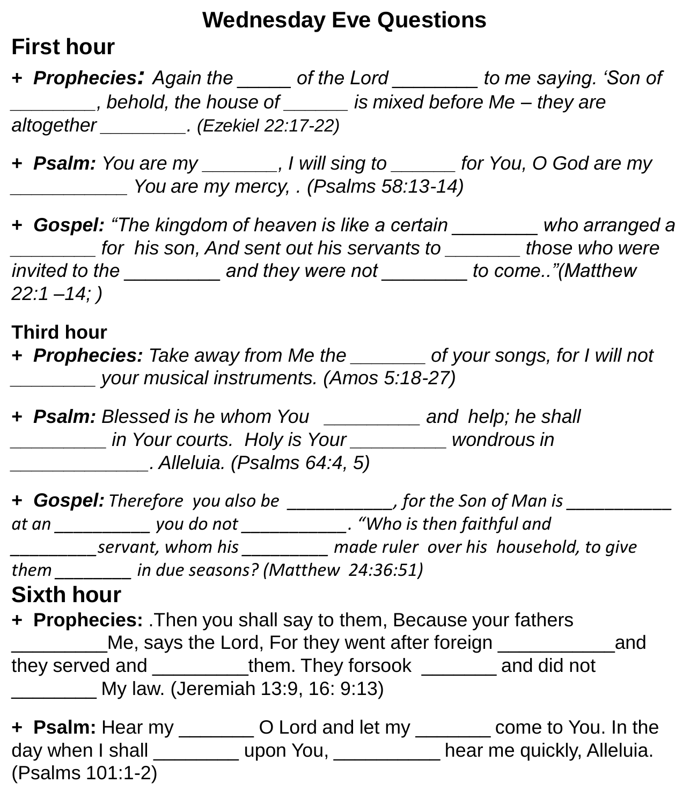#### **Wednesday Eve Questions**

#### **First hour**

**+** *Prophecies: Again the \_\_\_\_\_ of the Lord \_\_\_\_\_\_\_\_ to me saying. 'Son of \_\_\_\_\_\_\_\_, behold, the house of \_\_\_\_\_\_ is mixed before Me – they are altogether \_\_\_\_\_\_\_\_. (Ezekiel 22:17-22)*

**+** *Psalm: You are my \_\_\_\_\_\_\_, I will sing to \_\_\_\_\_\_ for You, O God are my \_\_\_\_\_\_\_\_\_\_\_ You are my mercy, . (Psalms 58:13-14)*

**+** *Gospel: "The kingdom of heaven is like a certain \_\_\_\_\_\_\_\_ who arranged a \_\_\_\_\_\_\_\_ for his son, And sent out his servants to \_\_\_\_\_\_\_ those who were invited to the \_\_\_\_\_\_\_\_\_ and they were not \_\_\_\_\_\_\_\_ to come.."(Matthew 22:1 –14; )*

#### **Third hour**

**+** *Prophecies: Take away from Me the \_\_\_\_\_\_\_ of your songs, for I will not \_\_\_\_\_\_\_\_ your musical instruments. (Amos 5:18-27)*

**+** *Psalm: Blessed is he whom You \_\_\_\_\_\_\_\_\_ and help; he shall \_\_\_\_\_\_\_\_\_ in Your courts. Holy is Your \_\_\_\_\_\_\_\_\_ wondrous in \_\_\_\_\_\_\_\_\_\_\_\_\_. Alleluia. (Psalms 64:4, 5)*

**+** *Gospel: Therefore you also be \_\_\_\_\_\_\_\_\_\_\_, for the Son of Man is \_\_\_\_\_\_\_\_\_\_\_ at an \_\_\_\_\_\_\_\_\_\_ you do not \_\_\_\_\_\_\_\_\_\_\_. "Who is then faithful and \_\_\_\_\_\_\_\_\_servant, whom his \_\_\_\_\_\_\_\_\_ made ruler over his household, to give them \_\_\_\_\_\_\_\_ in due seasons? (Matthew 24:36:51)*

#### **Sixth hour**

**+ Prophecies:** .Then you shall say to them, Because your fathers Me, says the Lord, For they went after foreign example and they served and **them.** They forsook and did not \_\_\_\_\_\_\_\_ My law. (Jeremiah 13:9, 16: 9:13)

**+ Psalm:** Hear my \_\_\_\_\_\_\_ O Lord and let my \_\_\_\_\_\_\_ come to You. In the day when I shall see the poor You, see the me quickly, Alleluia. (Psalms 101:1-2)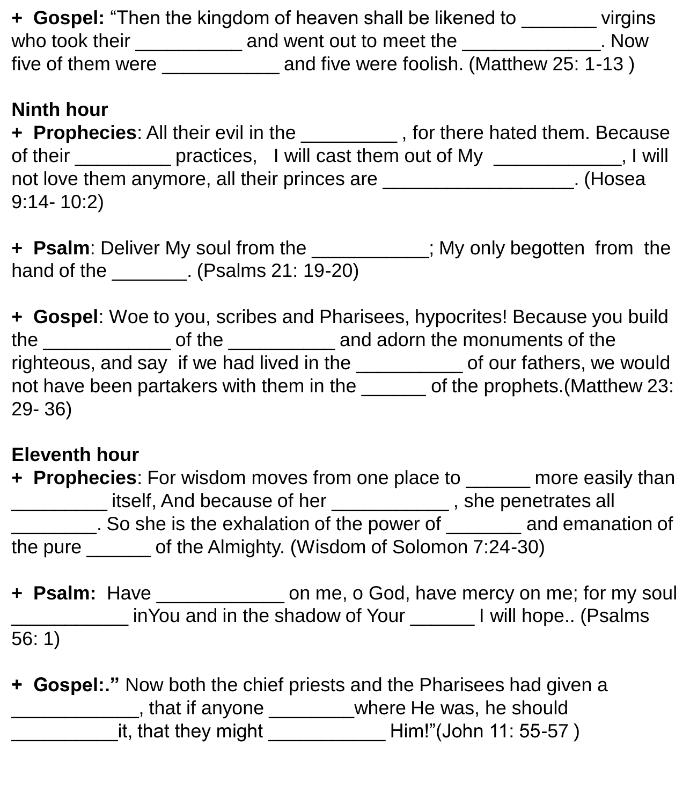**+ Gospel:** "Then the kingdom of heaven shall be likened to \_\_\_\_\_\_\_ virgins who took their \_\_\_\_\_\_\_\_\_\_\_\_ and went out to meet the \_\_\_\_\_\_\_\_\_\_\_\_\_\_. Now five of them were \_\_\_\_\_\_\_\_\_\_\_ and five were foolish. (Matthew 25: 1-13 )

#### **Ninth hour**

**+ Prophecies**: All their evil in the \_\_\_\_\_\_\_\_\_ , for there hated them. Because of their \_\_\_\_\_\_\_\_\_ practices, I will cast them out of My \_\_\_\_\_\_\_\_\_\_\_, I will not love them anymore, all their princes are \_\_\_\_\_\_\_\_\_\_\_\_\_\_\_\_\_\_\_\_. (Hosea 9:14- 10:2)

**+ Psalm**: Deliver My soul from the \_\_\_\_\_\_\_\_\_\_\_; My only begotten from the hand of the \_\_\_\_\_\_\_\_. (Psalms 21: 19-20)

**+ Gospel**: Woe to you, scribes and Pharisees, hypocrites! Because you build the \_\_\_\_\_\_\_\_\_\_\_\_ of the \_\_\_\_\_\_\_\_\_\_ and adorn the monuments of the righteous, and say if we had lived in the \_\_\_\_\_\_\_\_\_\_ of our fathers, we would not have been partakers with them in the \_\_\_\_\_\_ of the prophets.(Matthew 23: 29- 36)

#### **Eleventh hour**

**+ Prophecies**: For wisdom moves from one place to \_\_\_\_\_\_ more easily than \_\_\_\_\_\_\_\_\_ itself, And because of her \_\_\_\_\_\_\_\_\_\_\_ , she penetrates all \_\_\_\_\_\_\_\_. So she is the exhalation of the power of \_\_\_\_\_\_\_ and emanation of the pure \_\_\_\_\_\_ of the Almighty. (Wisdom of Solomon 7:24-30)

**+ Psalm:** Have \_\_\_\_\_\_\_\_\_\_\_\_ on me, o God, have mercy on me; for my soul \_\_\_\_\_\_\_\_\_\_\_ inYou and in the shadow of Your \_\_\_\_\_\_ I will hope.. (Psalms 56: 1)

**+ Gospel:."** Now both the chief priests and the Pharisees had given a \_\_\_\_\_\_\_\_\_\_\_\_, that if anyone \_\_\_\_\_\_\_\_where He was, he should \_\_\_\_\_\_\_\_\_\_it, that they might \_\_\_\_\_\_\_\_\_\_\_ Him!"(John 11: 55-57 )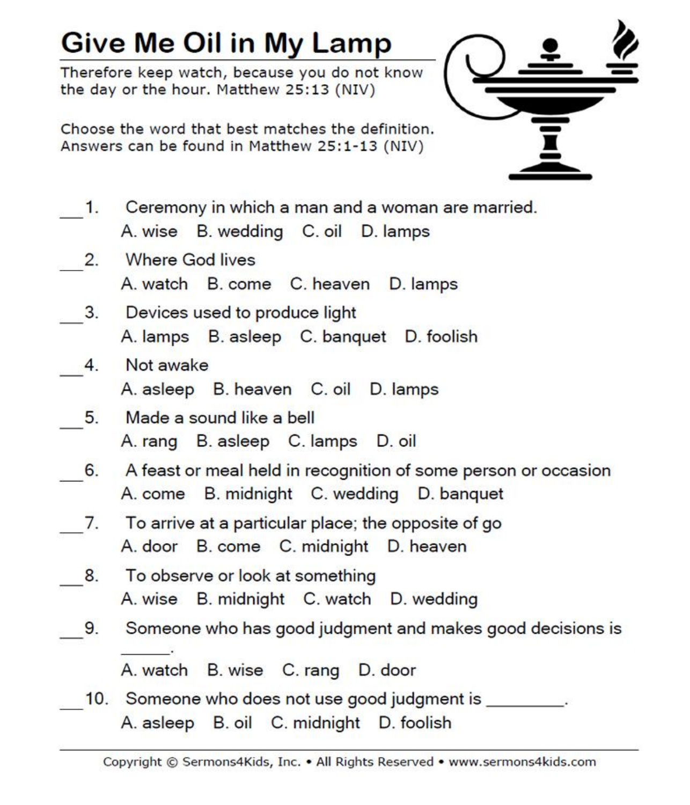# Give Me Oil in My Lamp

Therefore keep watch, because you do not know the day or the hour. Matthew 25:13 (NIV)

Choose the word that best matches the definition. Answers can be found in Matthew 25:1-13 (NIV)



- Ceremony in which a man and a woman are married.  $\blacksquare$ A. wise B. wedding C. oil D. lamps
- **Where God lives**  $2.$ A. watch B. come C. heaven D. lamps
- Devices used to produce light  $3.$ A. lamps B. asleep C. banquet D. foolish
- Not awake  $\overline{4}$ A. asleep B. heaven C. oil D. lamps
- $5.$ Made a sound like a bell A. rang B. asleep C. lamps D. oil
- A feast or meal held in recognition of some person or occasion 6. A. come B. midnight C. wedding D. banquet
- To arrive at a particular place; the opposite of go 7. A. door B. come C. midnight D. heaven
- To observe or look at something 8. A. wise B. midnight C. watch D. wedding
- 9. Someone who has good judgment and makes good decisions is

A. watch B. wise C. rang D. door

10. Someone who does not use good judgment is A. asleep B. oil C. midnight D. foolish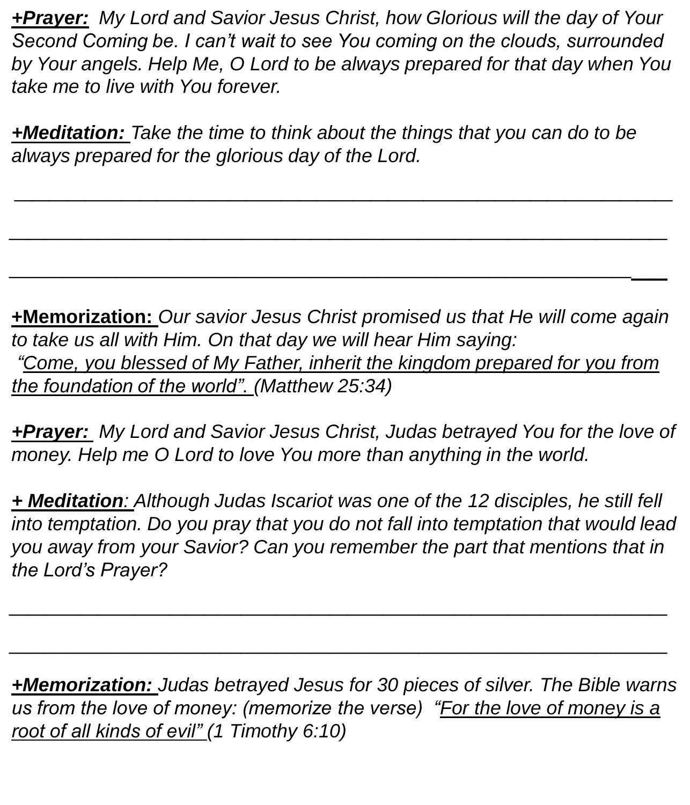*+Prayer: My Lord and Savior Jesus Christ, how Glorious will the day of Your Second Coming be. I can't wait to see You coming on the clouds, surrounded by Your angels. Help Me, O Lord to be always prepared for that day when You take me to live with You forever.*

*+Meditation: Take the time to think about the things that you can do to be always prepared for the glorious day of the Lord.*

*\_\_\_\_\_\_\_\_\_\_\_\_\_\_\_\_\_\_\_\_\_\_\_\_\_\_\_\_\_\_\_\_\_\_\_\_\_*

*\_\_\_\_\_\_\_\_\_\_\_\_\_\_\_\_\_\_\_\_\_\_\_\_\_\_\_\_\_\_\_\_\_\_\_\_\_*

*\_\_\_\_\_\_\_\_\_\_\_\_\_\_\_\_\_\_\_\_\_\_\_\_\_\_\_\_\_\_\_\_\_\_\_\_\_*

**+Memorization:** *Our savior Jesus Christ promised us that He will come again to take us all with Him. On that day we will hear Him saying: "Come, you blessed of My Father, inherit the kingdom prepared for you from the foundation of the world". (Matthew 25:34)*

*+Prayer: My Lord and Savior Jesus Christ, Judas betrayed You for the love of money. Help me O Lord to love You more than anything in the world.*

*+ Meditation: Although Judas Iscariot was one of the 12 disciples, he still fell into temptation. Do you pray that you do not fall into temptation that would lead you away from your Savior? Can you remember the part that mentions that in the Lord's Prayer?*

*\_\_\_\_\_\_\_\_\_\_\_\_\_\_\_\_\_\_\_\_\_\_\_\_\_\_\_\_\_\_\_\_\_\_\_\_\_*

*\_\_\_\_\_\_\_\_\_\_\_\_\_\_\_\_\_\_\_\_\_\_\_\_\_\_\_\_\_\_\_\_\_\_\_\_\_*

*+Memorization: Judas betrayed Jesus for 30 pieces of silver. The Bible warns us from the love of money: (memorize the verse) "For the love of money is a root of all kinds of evil" (1 Timothy 6:10)*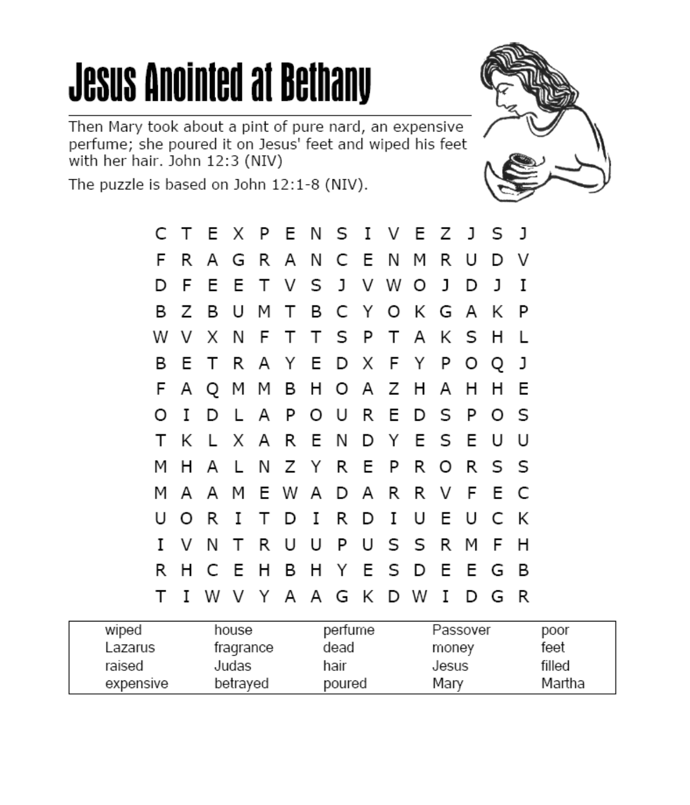# **Jesus Anointed at Bethany**

Then Mary took about a pint of pure nard, an expensive perfume; she poured it on Jesus' feet and wiped his feet with her hair. John 12:3 (NIV)



The puzzle is based on John 12:1-8 (NIV).

|   |     | C T E X P E N S I V E Z J S J |  |                           |  |  |  |      |     |     |  |
|---|-----|-------------------------------|--|---------------------------|--|--|--|------|-----|-----|--|
| F | R   |                               |  | A G R A N C E N M R       |  |  |  | U    | D   | – V |  |
|   | D F |                               |  | E E T V S J V W O J       |  |  |  | DJ.  |     | Ι   |  |
|   |     | B Z B U M T B C Y O K G A K   |  |                           |  |  |  |      |     | P   |  |
|   |     | W V X N F T T S P T A K S H   |  |                           |  |  |  |      |     | - L |  |
| В | E.  |                               |  | T R A Y E D X F Y P O Q   |  |  |  |      |     | J   |  |
|   |     | F A Q M M B H O A Z H A       |  |                           |  |  |  | H    | - H | Е   |  |
| O | Ι.  | D                             |  | L A P O U R E D S P O     |  |  |  |      |     | - S |  |
| Т |     | K L X A R E N D Y E S E U     |  |                           |  |  |  |      |     | U   |  |
| м | H.  |                               |  | A L N Z Y R E P R O R S S |  |  |  |      |     |     |  |
| м | A   |                               |  | A M E W A D A R R V F E   |  |  |  |      |     | C   |  |
| U |     | OR.                           |  | ITDIRDI                   |  |  |  | UEUC |     | K   |  |
|   | IVN |                               |  | T R U U P U S S R         |  |  |  | M    | -F  | H   |  |
|   |     | R H C E H B H Y E S D E E G   |  |                           |  |  |  |      |     | B   |  |
|   |     | T I W V Y A A G K D W I       |  |                           |  |  |  |      | D G | R   |  |

| wiped     | house     | perfume | Passover | poor   |
|-----------|-----------|---------|----------|--------|
| Lazarus   | fragrance | dead    | money    | feet   |
| raised    | Judas     | hair    | Jesus    | filled |
| expensive | betraved  | poured  | Mary     | Martha |